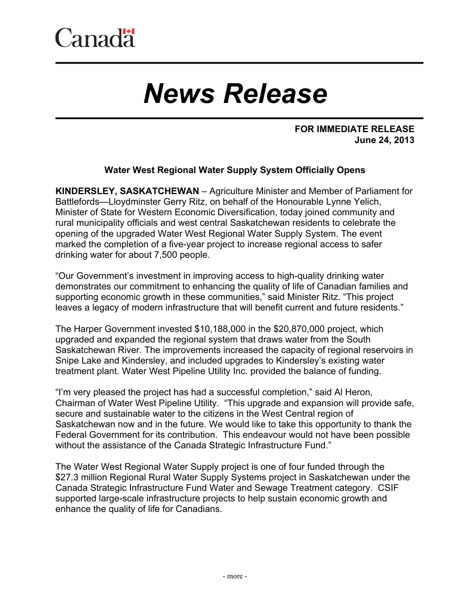## *News Release*

## **FOR IMMEDIATE RELEASE June 24, 2013**

## **Water West Regional Water Supply System Officially Opens**

**KINDERSLEY, SASKATCHEWAN** – Agriculture Minister and Member of Parliament for Battlefords—Lloydminster Gerry Ritz, on behalf of the Honourable Lynne Yelich, Minister of State for Western Economic Diversification, today joined community and rural municipality officials and west central Saskatchewan residents to celebrate the opening of the upgraded Water West Regional Water Supply System. The event marked the completion of a five-year project to increase regional access to safer drinking water for about 7,500 people.

"Our Government's investment in improving access to high-quality drinking water demonstrates our commitment to enhancing the quality of life of Canadian families and supporting economic growth in these communities," said Minister Ritz. "This project leaves a legacy of modern infrastructure that will benefit current and future residents."

The Harper Government invested \$10,188,000 in the \$20,870,000 project, which upgraded and expanded the regional system that draws water from the South Saskatchewan River. The improvements increased the capacity of regional reservoirs in Snipe Lake and Kindersley, and included upgrades to Kindersley's existing water treatment plant. Water West Pipeline Utility Inc. provided the balance of funding.

"I'm very pleased the project has had a successful completion," said Al Heron, Chairman of Water West Pipeline Utility. "This upgrade and expansion will provide safe, secure and sustainable water to the citizens in the West Central region of Saskatchewan now and in the future. We would like to take this opportunity to thank the Federal Government for its contribution. This endeavour would not have been possible without the assistance of the Canada Strategic Infrastructure Fund."

The Water West Regional Water Supply project is one of four funded through the \$27.3 million Regional Rural Water Supply Systems project in Saskatchewan under the Canada Strategic Infrastructure Fund Water and Sewage Treatment category. CSIF supported large-scale infrastructure projects to help sustain economic growth and enhance the quality of life for Canadians.